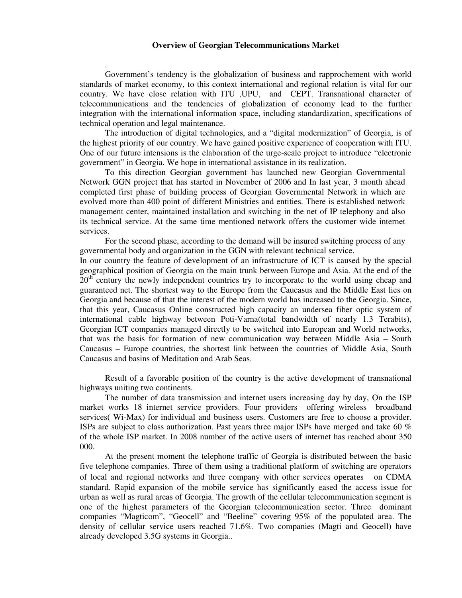## **Overview of Georgian Telecommunications Market**

.

Government's tendency is the globalization of business and rapprochement with world standards of market economy, to this context international and regional relation is vital for our country. We have close relation with ITU ,UPU, and CEPT. Transnational character of telecommunications and the tendencies of globalization of economy lead to the further integration with the international information space, including standardization, specifications of technical operation and legal maintenance.

The introduction of digital technologies, and a "digital modernization" of Georgia, is of the highest priority of our country. We have gained positive experience of cooperation with ITU. One of our future intensions is the elaboration of the urge-scale project to introduce "electronic government" in Georgia. We hope in international assistance in its realization.

To this direction Georgian government has launched new Georgian Governmental Network GGN project that has started in November of 2006 and In last year, 3 month ahead completed first phase of building process of Georgian Governmental Network in which are evolved more than 400 point of different Ministries and entities. There is established network management center, maintained installation and switching in the net of IP telephony and also its technical service. At the same time mentioned network offers the customer wide internet services.

For the second phase, according to the demand will be insured switching process of any governmental body and organization in the GGN with relevant technical service.

In our country the feature of development of an infrastructure of ICT is caused by the special geographical position of Georgia on the main trunk between Europe and Asia. At the end of the  $20<sup>th</sup>$  century the newly independent countries try to incorporate to the world using cheap and guaranteed net. The shortest way to the Europe from the Caucasus and the Middle East lies on Georgia and because of that the interest of the modern world has increased to the Georgia. Since, that this year, Caucasus Online constructed high capacity an undersea fiber optic system of international cable highway between Poti-Varna(total bandwidth of nearly 1.3 Terabits), Georgian ICT companies managed directly to be switched into European and World networks, that was the basis for formation of new communication way between Middle Asia – South Caucasus – Europe countries, the shortest link between the countries of Middle Asia, South Caucasus and basins of Meditation and Arab Seas.

Result of a favorable position of the country is the active development of transnational highways uniting two continents.

The number of data transmission and internet users increasing day by day, On the ISP market works 18 internet service providers. Four providers offering wireless broadband services( Wi-Max) for individual and business users. Customers are free to choose a provider. ISPs are subject to class authorization. Past years three major ISPs have merged and take 60 % of the whole ISP market. In 2008 number of the active users of internet has reached about 350 000.

At the present moment the telephone traffic of Georgia is distributed between the basic five telephone companies. Three of them using a traditional platform of switching are operators of local and regional networks and three company with other services operates on CDMA standard. Rapid expansion of the mobile service has significantly eased the access issue for urban as well as rural areas of Georgia. The growth of the cellular telecommunication segment is one of the highest parameters of the Georgian telecommunication sector. Three dominant companies "Magticom", "Geocell" and "Beeline" covering 95% of the populated area. The density of cellular service users reached 71.6%. Two companies (Magti and Geocell) have already developed 3.5G systems in Georgia..